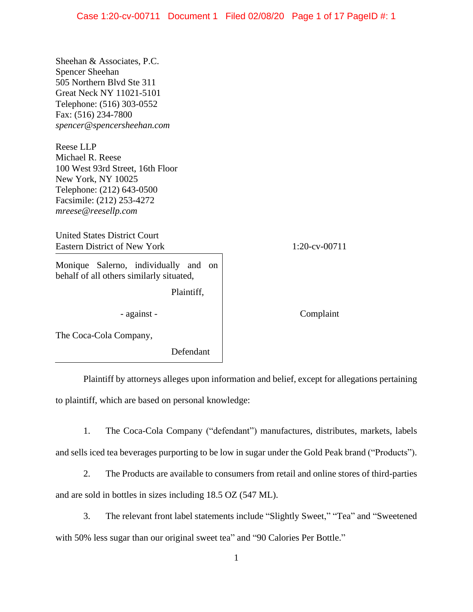Sheehan & Associates, P.C. Spencer Sheehan 505 Northern Blvd Ste 311 Great Neck NY 11021-5101 Telephone: (516) 303-0552 Fax: (516) 234-7800 *spencer@spencersheehan.com*

Reese LLP Michael R. Reese 100 West 93rd Street, 16th Floor New York, NY 10025 Telephone: (212) 643-0500 Facsimile: (212) 253-4272 *mreese@reesellp.com*

United States District Court Eastern District of New York 1:20-cv-00711

Monique Salerno, individually and on behalf of all others similarly situated,

Plaintiff,

- against - The Complaint

The Coca-Cola Company,

Defendant

Plaintiff by attorneys alleges upon information and belief, except for allegations pertaining to plaintiff, which are based on personal knowledge:

1. The Coca-Cola Company ("defendant") manufactures, distributes, markets, labels and sells iced tea beverages purporting to be low in sugar under the Gold Peak brand ("Products").

2. The Products are available to consumers from retail and online stores of third-parties and are sold in bottles in sizes including 18.5 OZ (547 ML).

3. The relevant front label statements include "Slightly Sweet," "Tea" and "Sweetened with 50% less sugar than our original sweet tea" and "90 Calories Per Bottle."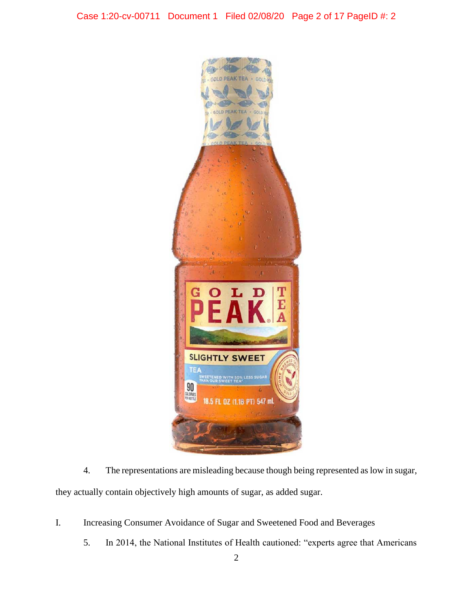

4. The representations are misleading because though being represented as low in sugar, they actually contain objectively high amounts of sugar, as added sugar.

- I. Increasing Consumer Avoidance of Sugar and Sweetened Food and Beverages
	- 5. In 2014, the National Institutes of Health cautioned: "experts agree that Americans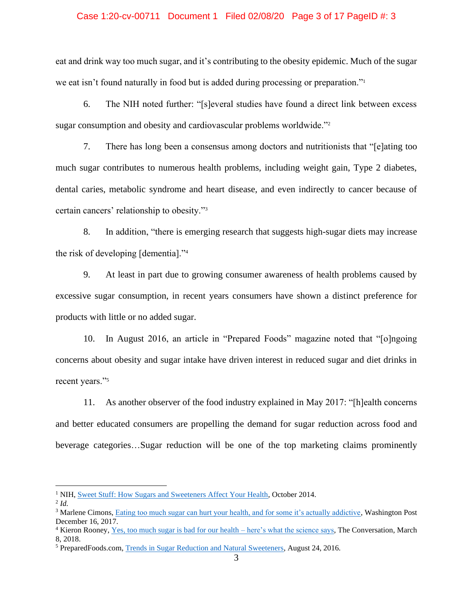#### Case 1:20-cv-00711 Document 1 Filed 02/08/20 Page 3 of 17 PageID #: 3

eat and drink way too much sugar, and it's contributing to the obesity epidemic. Much of the sugar we eat isn't found naturally in food but is added during processing or preparation."<sup>1</sup>

6. The NIH noted further: "[s]everal studies have found a direct link between excess sugar consumption and obesity and cardiovascular problems worldwide."<sup>2</sup>

7. There has long been a consensus among doctors and nutritionists that "[e]ating too much sugar contributes to numerous health problems, including weight gain, Type 2 diabetes, dental caries, metabolic syndrome and heart disease, and even indirectly to cancer because of certain cancers' relationship to obesity."<sup>3</sup>

8. In addition, "there is emerging research that suggests high-sugar diets may increase the risk of developing [dementia]."<sup>4</sup>

9. At least in part due to growing consumer awareness of health problems caused by excessive sugar consumption, in recent years consumers have shown a distinct preference for products with little or no added sugar.

10. In August 2016, an article in "Prepared Foods" magazine noted that "[o]ngoing concerns about obesity and sugar intake have driven interest in reduced sugar and diet drinks in recent years."<sup>5</sup>

11. As another observer of the food industry explained in May 2017: "[h]ealth concerns and better educated consumers are propelling the demand for sugar reduction across food and beverage categories…Sugar reduction will be one of the top marketing claims prominently

<sup>&</sup>lt;sup>1</sup> NIH[, Sweet Stuff: How Sugars and Sweeteners Affect Your Health,](https://newsinhealth.nih.gov/2014/10/sweet-stuff) October 2014.

<sup>2</sup> *Id.*

<sup>&</sup>lt;sup>3</sup> Marlene Cimons, [Eating too much sugar can hurt your health, and for some it's actually addictive,](https://www.washingtonpost.com/national/health-science/eating-too-much-sugar-can-hurt-your-health-and-for-some-its-actually-addictive/2017/12/15/3853d3e8-de8b-11e7-bbd0-9dfb2e37492a_story.html) Washington Post December 16, 2017.

<sup>&</sup>lt;sup>4</sup> Kieron Rooney, <u>Yes, too much sugar is bad for our health – here's what the science says, The Conversation, March</u> 8, 2018.

<sup>5</sup> PreparedFoods.com, [Trends in Sugar Reduction and Natural Sweeteners,](https://www.preparedfoods.com/articles/118643-trends-in-sugar-reduction-and-natural-sweeteners) August 24, 2016.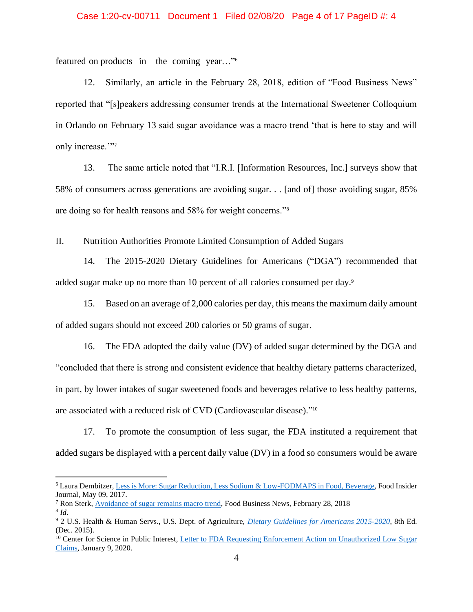featured on products in the coming year..."<sup>6</sup>

12. Similarly, an article in the February 28, 2018, edition of "Food Business News" reported that "[s]peakers addressing consumer trends at the International Sweetener Colloquium in Orlando on February 13 said sugar avoidance was a macro trend 'that is here to stay and will only increase.""7

13. The same article noted that "I.R.I. [Information Resources, Inc.] surveys show that 58% of consumers across generations are avoiding sugar. . . [and of] those avoiding sugar, 85% are doing so for health reasons and 58% for weight concerns."<sup>8</sup>

II. Nutrition Authorities Promote Limited Consumption of Added Sugars

14. The 2015-2020 Dietary Guidelines for Americans ("DGA") recommended that added sugar make up no more than 10 percent of all calories consumed per day.<sup>9</sup>

15. Based on an average of 2,000 calories per day, this means the maximum daily amount of added sugars should not exceed 200 calories or 50 grams of sugar.

16. The FDA adopted the daily value (DV) of added sugar determined by the DGA and "concluded that there is strong and consistent evidence that healthy dietary patterns characterized, in part, by lower intakes of sugar sweetened foods and beverages relative to less healthy patterns, are associated with a reduced risk of CVD (Cardiovascular disease)."<sup>10</sup>

17. To promote the consumption of less sugar, the FDA instituted a requirement that added sugars be displayed with a percent daily value (DV) in a food so consumers would be aware

<sup>6</sup> Laura Dembitzer, [Less is More: Sugar Reduction, Less Sodium & Low-FODMAPS in Food, Beverage,](https://www.foodinsiderjournal.com/formulation-solutions/less-more-sugar-reduction-less-sodium-low-fodmaps-food-beverage) Food Insider Journal, May 09, 2017.

<sup>7</sup> Ron Sterk, [Avoidance of sugar remains macro trend,](https://www.foodbusinessnews.net/articles/11380-avoidance-of-sugar-remains-macro-trend) Food Business News, February 28, 2018 8 *Id*.

<sup>9</sup> 2 U.S. Health & Human Servs., U.S. Dept. of Agriculture, *[Dietary Guidelines for Americans 2015-2020](https://health.gov/sites/default/files/2019-09/2015-2020_Dietary_Guidelines.pdf)*, 8th Ed. (Dec. 2015).

<sup>&</sup>lt;sup>10</sup> Center for Science in Public Interest, Letter to FDA Requesting Enforcement Action on Unauthorized Low Sugar [Claims,](https://cspinet.org/sites/default/files/attachment/Low_Sugar_Letter-1.9.20.pdf) January 9, 2020.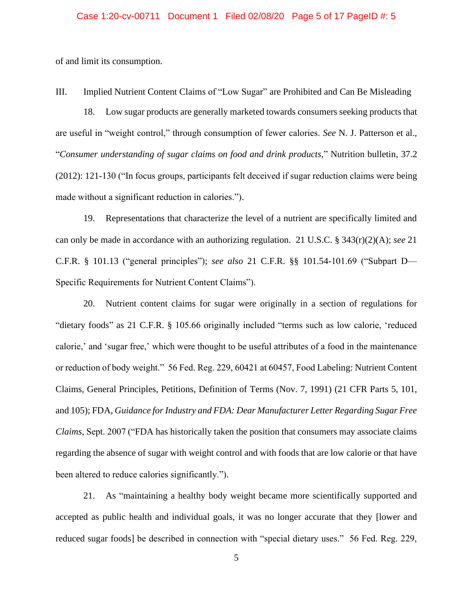of and limit its consumption.

III. Implied Nutrient Content Claims of "Low Sugar" are Prohibited and Can Be Misleading

18. Low sugar products are generally marketed towards consumers seeking products that are useful in "weight control," through consumption of fewer calories. *See* N. J. Patterson et al., "*Consumer understanding of sugar claims on food and drink products*," Nutrition bulletin, 37.2 (2012): 121-130 ("In focus groups, participants felt deceived if sugar reduction claims were being made without a significant reduction in calories.").

19. Representations that characterize the level of a nutrient are specifically limited and can only be made in accordance with an authorizing regulation. 21 U.S.C. § 343(r)(2)(A); *see* 21 C.F.R. § 101.13 ("general principles"); *see also* 21 C.F.R. §§ 101.54-101.69 ("Subpart D— Specific Requirements for Nutrient Content Claims").

20. Nutrient content claims for sugar were originally in a section of regulations for "dietary foods" as 21 C.F.R. § 105.66 originally included "terms such as low calorie, 'reduced calorie,' and 'sugar free,' which were thought to be useful attributes of a food in the maintenance or reduction of body weight." 56 Fed. Reg. 229, 60421 at 60457, Food Labeling: Nutrient Content Claims, General Principles, Petitions, Definition of Terms (Nov. 7, 1991) (21 CFR Parts 5, 101, and 105); FDA, *Guidance for Industry and FDA: Dear Manufacturer Letter Regarding Sugar Free Claims*, Sept. 2007 ("FDA has historically taken the position that consumers may associate claims regarding the absence of sugar with weight control and with foods that are low calorie or that have been altered to reduce calories significantly.").

21. As "maintaining a healthy body weight became more scientifically supported and accepted as public health and individual goals, it was no longer accurate that they [lower and reduced sugar foods] be described in connection with "special dietary uses." 56 Fed. Reg. 229,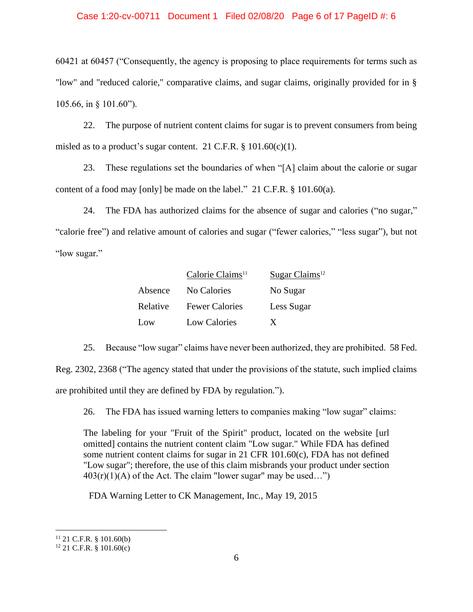### Case 1:20-cv-00711 Document 1 Filed 02/08/20 Page 6 of 17 PageID #: 6

60421 at 60457 ("Consequently, the agency is proposing to place requirements for terms such as "low" and "reduced calorie," comparative claims, and sugar claims, originally provided for in § 105.66, in § 101.60").

22. The purpose of nutrient content claims for sugar is to prevent consumers from being misled as to a product's sugar content. 21 C.F.R.  $\S$  101.60(c)(1).

23. These regulations set the boundaries of when "[A] claim about the calorie or sugar content of a food may [only] be made on the label." 21 C.F.R. § 101.60(a).

24. The FDA has authorized claims for the absence of sugar and calories ("no sugar," "calorie free") and relative amount of calories and sugar ("fewer calories," "less sugar"), but not "low sugar."

|          | Calorie Claims <sup>11</sup> | Sugar Claims <sup>12</sup> |  |  |
|----------|------------------------------|----------------------------|--|--|
| Absence  | No Calories                  | No Sugar                   |  |  |
| Relative | <b>Fewer Calories</b>        | Less Sugar                 |  |  |
| Low      | <b>Low Calories</b>          | X                          |  |  |

25. Because "low sugar" claims have never been authorized, they are prohibited. 58 Fed.

Reg. 2302, 2368 ("The agency stated that under the provisions of the statute, such implied claims

are prohibited until they are defined by FDA by regulation.").

26. The FDA has issued warning letters to companies making "low sugar" claims:

The labeling for your "Fruit of the Spirit" product, located on the website [url omitted] contains the nutrient content claim "Low sugar." While FDA has defined some nutrient content claims for sugar in 21 CFR 101.60(c), FDA has not defined "Low sugar"; therefore, the use of this claim misbrands your product under section  $403(r)(1)(A)$  of the Act. The claim "lower sugar" may be used...")

FDA Warning Letter to CK Management, Inc., May 19, 2015

 $11$  21 C.F.R. § 101.60(b)

 $12$  21 C.F.R. § 101.60(c)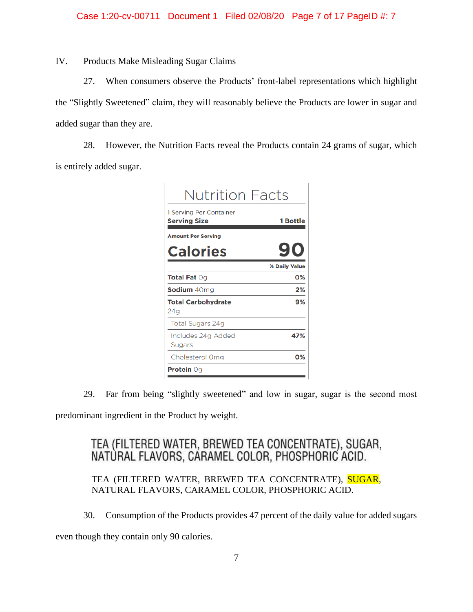IV. Products Make Misleading Sugar Claims

27. When consumers observe the Products' front-label representations which highlight the "Slightly Sweetened" claim, they will reasonably believe the Products are lower in sugar and added sugar than they are.

28. However, the Nutrition Facts reveal the Products contain 24 grams of sugar, which is entirely added sugar.

| 1 Serving Per Container<br><b>Serving Size</b> | 1 Bottle      |
|------------------------------------------------|---------------|
| <b>Amount Per Serving</b>                      |               |
| <b>Calories</b>                                |               |
|                                                | % Daily Value |
| <b>Total Fat Og</b>                            | O%            |
| Sodium 40mg                                    | 2%            |
| <b>Total Carbohydrate</b><br>24g               | 9%            |
| Total Sugars 24g                               |               |
| Includes 24g Added                             | 47%           |
| Sugars                                         |               |

29. Far from being "slightly sweetened" and low in sugar, sugar is the second most predominant ingredient in the Product by weight.

TEA (FILTERED WATER, BREWED TEA CONCENTRATE), SUGAR, NATÙRAL FLAVORS, CARAMEL COLOR, PHOSPHORIC ACID.

TEA (FILTERED WATER, BREWED TEA CONCENTRATE), SUGAR, NATURAL FLAVORS, CARAMEL COLOR, PHOSPHORIC ACID.

30. Consumption of the Products provides 47 percent of the daily value for added sugars

even though they contain only 90 calories.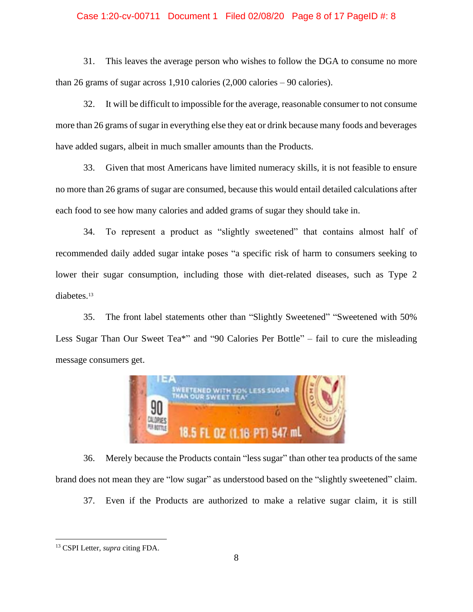#### Case 1:20-cv-00711 Document 1 Filed 02/08/20 Page 8 of 17 PageID #: 8

31. This leaves the average person who wishes to follow the DGA to consume no more than 26 grams of sugar across 1,910 calories (2,000 calories – 90 calories).

32. It will be difficult to impossible for the average, reasonable consumer to not consume more than 26 grams of sugar in everything else they eat or drink because many foods and beverages have added sugars, albeit in much smaller amounts than the Products.

33. Given that most Americans have limited numeracy skills, it is not feasible to ensure no more than 26 grams of sugar are consumed, because this would entail detailed calculations after each food to see how many calories and added grams of sugar they should take in.

34. To represent a product as "slightly sweetened" that contains almost half of recommended daily added sugar intake poses "a specific risk of harm to consumers seeking to lower their sugar consumption, including those with diet-related diseases, such as Type 2 diabetes. 13

35. The front label statements other than "Slightly Sweetened" "Sweetened with 50% Less Sugar Than Our Sweet Tea\*" and "90 Calories Per Bottle" – fail to cure the misleading message consumers get.



36. Merely because the Products contain "less sugar" than other tea products of the same brand does not mean they are "low sugar" as understood based on the "slightly sweetened" claim.

37. Even if the Products are authorized to make a relative sugar claim, it is still

<sup>13</sup> CSPI Letter, *supra* citing FDA.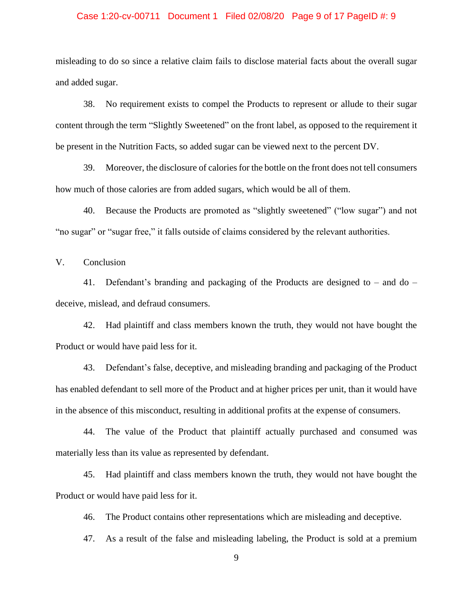#### Case 1:20-cv-00711 Document 1 Filed 02/08/20 Page 9 of 17 PageID #: 9

misleading to do so since a relative claim fails to disclose material facts about the overall sugar and added sugar.

38. No requirement exists to compel the Products to represent or allude to their sugar content through the term "Slightly Sweetened" on the front label, as opposed to the requirement it be present in the Nutrition Facts, so added sugar can be viewed next to the percent DV.

39. Moreover, the disclosure of calories for the bottle on the front does not tell consumers how much of those calories are from added sugars, which would be all of them.

40. Because the Products are promoted as "slightly sweetened" ("low sugar") and not "no sugar" or "sugar free," it falls outside of claims considered by the relevant authorities.

V. Conclusion

41. Defendant's branding and packaging of the Products are designed to – and do – deceive, mislead, and defraud consumers.

42. Had plaintiff and class members known the truth, they would not have bought the Product or would have paid less for it.

43. Defendant's false, deceptive, and misleading branding and packaging of the Product has enabled defendant to sell more of the Product and at higher prices per unit, than it would have in the absence of this misconduct, resulting in additional profits at the expense of consumers.

44. The value of the Product that plaintiff actually purchased and consumed was materially less than its value as represented by defendant.

45. Had plaintiff and class members known the truth, they would not have bought the Product or would have paid less for it.

46. The Product contains other representations which are misleading and deceptive.

47. As a result of the false and misleading labeling, the Product is sold at a premium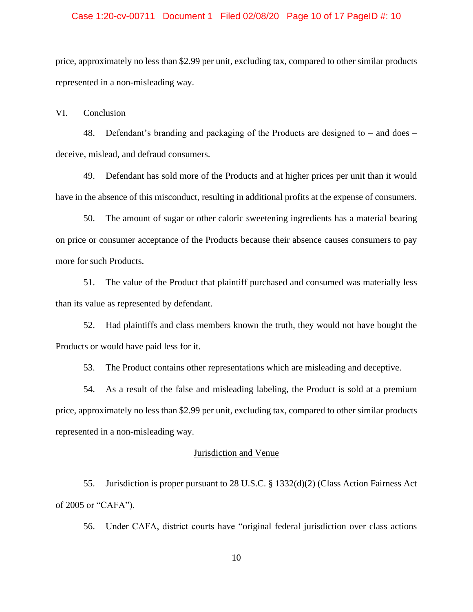#### Case 1:20-cv-00711 Document 1 Filed 02/08/20 Page 10 of 17 PageID #: 10

price, approximately no less than \$2.99 per unit, excluding tax, compared to other similar products represented in a non-misleading way.

VI. Conclusion

48. Defendant's branding and packaging of the Products are designed to – and does – deceive, mislead, and defraud consumers.

49. Defendant has sold more of the Products and at higher prices per unit than it would have in the absence of this misconduct, resulting in additional profits at the expense of consumers.

50. The amount of sugar or other caloric sweetening ingredients has a material bearing on price or consumer acceptance of the Products because their absence causes consumers to pay more for such Products.

51. The value of the Product that plaintiff purchased and consumed was materially less than its value as represented by defendant.

52. Had plaintiffs and class members known the truth, they would not have bought the Products or would have paid less for it.

53. The Product contains other representations which are misleading and deceptive.

54. As a result of the false and misleading labeling, the Product is sold at a premium price, approximately no less than \$2.99 per unit, excluding tax, compared to other similar products represented in a non-misleading way.

#### Jurisdiction and Venue

55. Jurisdiction is proper pursuant to 28 U.S.C. § 1332(d)(2) (Class Action Fairness Act of 2005 or "CAFA").

56. Under CAFA, district courts have "original federal jurisdiction over class actions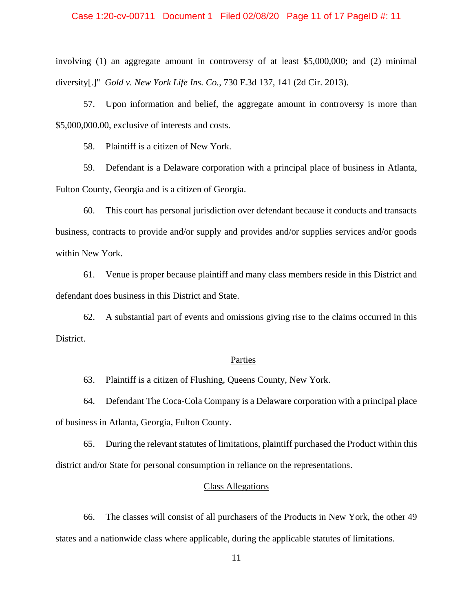#### Case 1:20-cv-00711 Document 1 Filed 02/08/20 Page 11 of 17 PageID #: 11

involving (1) an aggregate amount in controversy of at least \$5,000,000; and (2) minimal diversity[.]" *Gold v. New York Life Ins. Co.*, 730 F.3d 137, 141 (2d Cir. 2013).

57. Upon information and belief, the aggregate amount in controversy is more than \$5,000,000.00, exclusive of interests and costs.

58. Plaintiff is a citizen of New York.

59. Defendant is a Delaware corporation with a principal place of business in Atlanta, Fulton County, Georgia and is a citizen of Georgia.

60. This court has personal jurisdiction over defendant because it conducts and transacts business, contracts to provide and/or supply and provides and/or supplies services and/or goods within New York.

61. Venue is proper because plaintiff and many class members reside in this District and defendant does business in this District and State.

62. A substantial part of events and omissions giving rise to the claims occurred in this District.

#### Parties

63. Plaintiff is a citizen of Flushing, Queens County, New York.

64. Defendant The Coca-Cola Company is a Delaware corporation with a principal place of business in Atlanta, Georgia, Fulton County.

65. During the relevant statutes of limitations, plaintiff purchased the Product within this district and/or State for personal consumption in reliance on the representations.

#### Class Allegations

66. The classes will consist of all purchasers of the Products in New York, the other 49 states and a nationwide class where applicable, during the applicable statutes of limitations.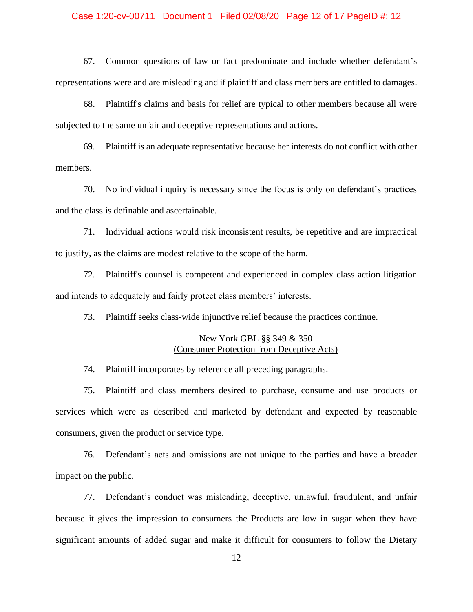#### Case 1:20-cv-00711 Document 1 Filed 02/08/20 Page 12 of 17 PageID #: 12

67. Common questions of law or fact predominate and include whether defendant's representations were and are misleading and if plaintiff and class members are entitled to damages.

68. Plaintiff's claims and basis for relief are typical to other members because all were subjected to the same unfair and deceptive representations and actions.

69. Plaintiff is an adequate representative because her interests do not conflict with other members.

70. No individual inquiry is necessary since the focus is only on defendant's practices and the class is definable and ascertainable.

71. Individual actions would risk inconsistent results, be repetitive and are impractical to justify, as the claims are modest relative to the scope of the harm.

72. Plaintiff's counsel is competent and experienced in complex class action litigation and intends to adequately and fairly protect class members' interests.

73. Plaintiff seeks class-wide injunctive relief because the practices continue.

## New York GBL §§ 349 & 350 (Consumer Protection from Deceptive Acts)

74. Plaintiff incorporates by reference all preceding paragraphs.

75. Plaintiff and class members desired to purchase, consume and use products or services which were as described and marketed by defendant and expected by reasonable consumers, given the product or service type.

76. Defendant's acts and omissions are not unique to the parties and have a broader impact on the public.

77. Defendant's conduct was misleading, deceptive, unlawful, fraudulent, and unfair because it gives the impression to consumers the Products are low in sugar when they have significant amounts of added sugar and make it difficult for consumers to follow the Dietary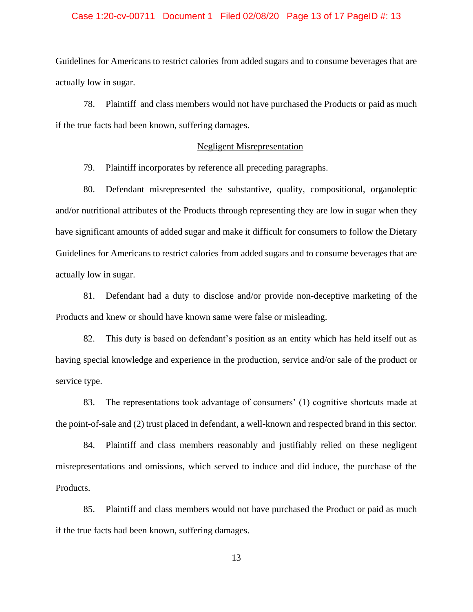#### Case 1:20-cv-00711 Document 1 Filed 02/08/20 Page 13 of 17 PageID #: 13

Guidelines for Americans to restrict calories from added sugars and to consume beverages that are actually low in sugar.

78. Plaintiff and class members would not have purchased the Products or paid as much if the true facts had been known, suffering damages.

#### Negligent Misrepresentation

79. Plaintiff incorporates by reference all preceding paragraphs.

80. Defendant misrepresented the substantive, quality, compositional, organoleptic and/or nutritional attributes of the Products through representing they are low in sugar when they have significant amounts of added sugar and make it difficult for consumers to follow the Dietary Guidelines for Americans to restrict calories from added sugars and to consume beverages that are actually low in sugar.

81. Defendant had a duty to disclose and/or provide non-deceptive marketing of the Products and knew or should have known same were false or misleading.

82. This duty is based on defendant's position as an entity which has held itself out as having special knowledge and experience in the production, service and/or sale of the product or service type.

83. The representations took advantage of consumers' (1) cognitive shortcuts made at the point-of-sale and (2) trust placed in defendant, a well-known and respected brand in this sector.

84. Plaintiff and class members reasonably and justifiably relied on these negligent misrepresentations and omissions, which served to induce and did induce, the purchase of the Products.

85. Plaintiff and class members would not have purchased the Product or paid as much if the true facts had been known, suffering damages.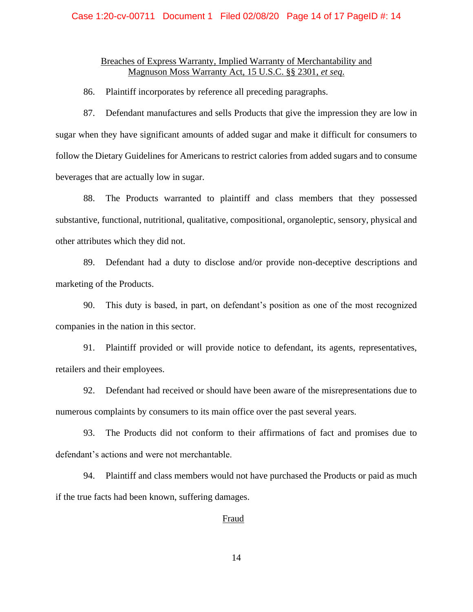#### Case 1:20-cv-00711 Document 1 Filed 02/08/20 Page 14 of 17 PageID #: 14

## Breaches of Express Warranty, Implied Warranty of Merchantability and Magnuson Moss Warranty Act, 15 U.S.C. §§ 2301, *et seq*.

86. Plaintiff incorporates by reference all preceding paragraphs.

87. Defendant manufactures and sells Products that give the impression they are low in sugar when they have significant amounts of added sugar and make it difficult for consumers to follow the Dietary Guidelines for Americans to restrict calories from added sugars and to consume beverages that are actually low in sugar.

88. The Products warranted to plaintiff and class members that they possessed substantive, functional, nutritional, qualitative, compositional, organoleptic, sensory, physical and other attributes which they did not.

89. Defendant had a duty to disclose and/or provide non-deceptive descriptions and marketing of the Products.

90. This duty is based, in part, on defendant's position as one of the most recognized companies in the nation in this sector.

91. Plaintiff provided or will provide notice to defendant, its agents, representatives, retailers and their employees.

92. Defendant had received or should have been aware of the misrepresentations due to numerous complaints by consumers to its main office over the past several years.

93. The Products did not conform to their affirmations of fact and promises due to defendant's actions and were not merchantable.

94. Plaintiff and class members would not have purchased the Products or paid as much if the true facts had been known, suffering damages.

#### **Fraud**

14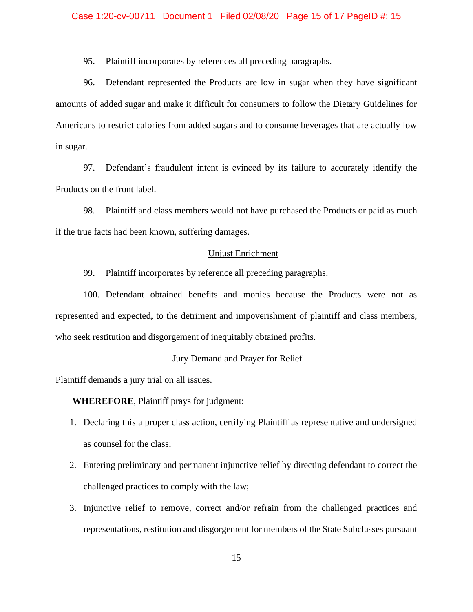95. Plaintiff incorporates by references all preceding paragraphs.

96. Defendant represented the Products are low in sugar when they have significant amounts of added sugar and make it difficult for consumers to follow the Dietary Guidelines for Americans to restrict calories from added sugars and to consume beverages that are actually low in sugar.

97. Defendant's fraudulent intent is evinced by its failure to accurately identify the Products on the front label.

98. Plaintiff and class members would not have purchased the Products or paid as much if the true facts had been known, suffering damages.

#### Unjust Enrichment

99. Plaintiff incorporates by reference all preceding paragraphs.

100. Defendant obtained benefits and monies because the Products were not as represented and expected, to the detriment and impoverishment of plaintiff and class members, who seek restitution and disgorgement of inequitably obtained profits.

## Jury Demand and Prayer for Relief

Plaintiff demands a jury trial on all issues.

**WHEREFORE**, Plaintiff prays for judgment:

- 1. Declaring this a proper class action, certifying Plaintiff as representative and undersigned as counsel for the class;
- 2. Entering preliminary and permanent injunctive relief by directing defendant to correct the challenged practices to comply with the law;
- 3. Injunctive relief to remove, correct and/or refrain from the challenged practices and representations, restitution and disgorgement for members of the State Subclasses pursuant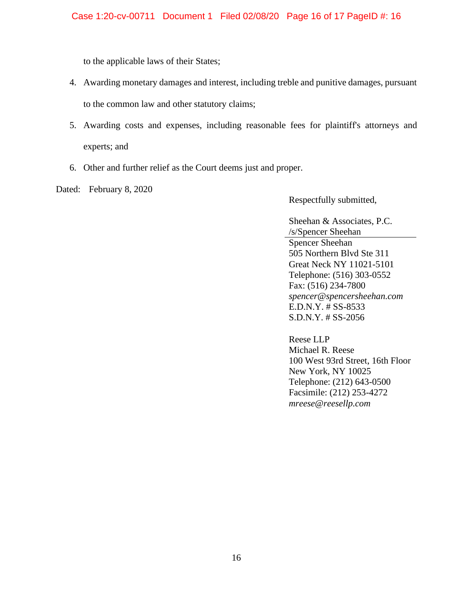to the applicable laws of their States;

- 4. Awarding monetary damages and interest, including treble and punitive damages, pursuant to the common law and other statutory claims;
- 5. Awarding costs and expenses, including reasonable fees for plaintiff's attorneys and experts; and
- 6. Other and further relief as the Court deems just and proper.
- Dated: February 8, 2020

Respectfully submitted,

Sheehan & Associates, P.C. /s/Spencer Sheehan

Spencer Sheehan 505 Northern Blvd Ste 311 Great Neck NY 11021-5101 Telephone: (516) 303-0552 Fax: (516) 234-7800 *spencer@spencersheehan.com* E.D.N.Y. # SS-8533 S.D.N.Y. # SS-2056

Reese LLP Michael R. Reese 100 West 93rd Street, 16th Floor New York, NY 10025 Telephone: (212) 643-0500 Facsimile: (212) 253-4272 *mreese@reesellp.com*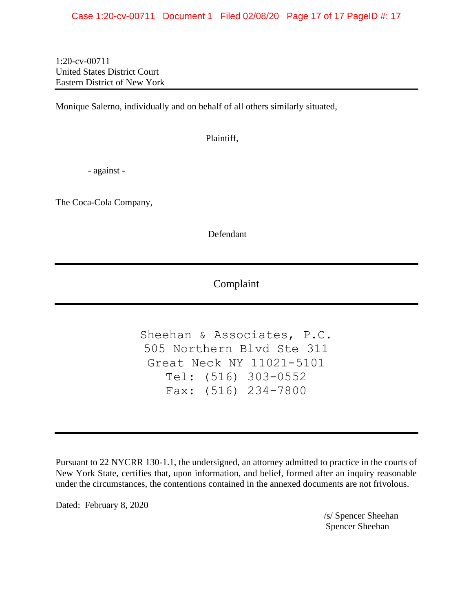1:20-cv-00711 United States District Court Eastern District of New York

Monique Salerno, individually and on behalf of all others similarly situated,

Plaintiff,

- against -

The Coca-Cola Company,

Defendant

Complaint

Sheehan & Associates, P.C. 505 Northern Blvd Ste 311 Great Neck NY 11021-5101 Tel: (516) 303-0552 Fax: (516) 234-7800

Pursuant to 22 NYCRR 130-1.1, the undersigned, an attorney admitted to practice in the courts of New York State, certifies that, upon information, and belief, formed after an inquiry reasonable under the circumstances, the contentions contained in the annexed documents are not frivolous.

Dated: February 8, 2020

/s/ Spencer Sheehan Spencer Sheehan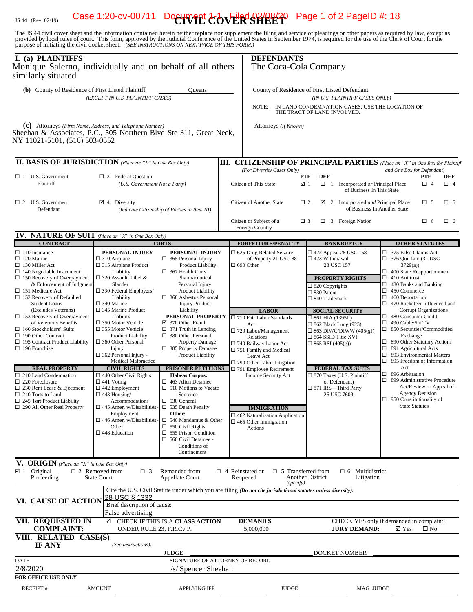# 1S 44 (Rev. 02/19) Case 1:20-cv-00711 Document  $\text{CovER}$   $\text{CovER}$   $\text{Cov}$  Page 1 of 2 PageID #: 18

The JS 44 civil cover sheet and the information contained herein neither replace nor supplement the filing and service of pleadings or other papers as required by law, except as provided by local rules of court. This form,

| I. (a) PLAINTIFFS<br>Monique Salerno, individually and on behalf of all others                                                                                                                                                                                                                                                                                                                                                                                                                                                                                                                                                                                                                                      |                                                                                                                                                                                                                                                                                                                                                                                                                                                                                                                                                                                                                                                                                                                     |                                                                                                                                                                                                                                                                                                                                                                                                                                                                                                                                                                                                                                                                                                                                                                                     | <b>DEFENDANTS</b><br>The Coca-Cola Company                                                                                                                                                                                                                                                                                                                                                                                                                            |                                                                                                                                                                                                                                                                                                                                                                                                                                                               |                                                                                                                                                                                                                                                                                                                                                                                                                                                                                                                                                                                                                                                                                                            |
|---------------------------------------------------------------------------------------------------------------------------------------------------------------------------------------------------------------------------------------------------------------------------------------------------------------------------------------------------------------------------------------------------------------------------------------------------------------------------------------------------------------------------------------------------------------------------------------------------------------------------------------------------------------------------------------------------------------------|---------------------------------------------------------------------------------------------------------------------------------------------------------------------------------------------------------------------------------------------------------------------------------------------------------------------------------------------------------------------------------------------------------------------------------------------------------------------------------------------------------------------------------------------------------------------------------------------------------------------------------------------------------------------------------------------------------------------|-------------------------------------------------------------------------------------------------------------------------------------------------------------------------------------------------------------------------------------------------------------------------------------------------------------------------------------------------------------------------------------------------------------------------------------------------------------------------------------------------------------------------------------------------------------------------------------------------------------------------------------------------------------------------------------------------------------------------------------------------------------------------------------|-----------------------------------------------------------------------------------------------------------------------------------------------------------------------------------------------------------------------------------------------------------------------------------------------------------------------------------------------------------------------------------------------------------------------------------------------------------------------|---------------------------------------------------------------------------------------------------------------------------------------------------------------------------------------------------------------------------------------------------------------------------------------------------------------------------------------------------------------------------------------------------------------------------------------------------------------|------------------------------------------------------------------------------------------------------------------------------------------------------------------------------------------------------------------------------------------------------------------------------------------------------------------------------------------------------------------------------------------------------------------------------------------------------------------------------------------------------------------------------------------------------------------------------------------------------------------------------------------------------------------------------------------------------------|
| similarly situated<br>(b) County of Residence of First Listed Plaintiff<br>(c) Attorneys (Firm Name, Address, and Telephone Number)<br>Sheehan & Associates, P.C., 505 Northern Blvd Ste 311, Great Neck,<br>NY 11021-5101, (516) 303-0552                                                                                                                                                                                                                                                                                                                                                                                                                                                                          | (EXCEPT IN U.S. PLAINTIFF CASES)                                                                                                                                                                                                                                                                                                                                                                                                                                                                                                                                                                                                                                                                                    | <b>Oueens</b>                                                                                                                                                                                                                                                                                                                                                                                                                                                                                                                                                                                                                                                                                                                                                                       | NOTE:<br>Attorneys (If Known)                                                                                                                                                                                                                                                                                                                                                                                                                                         | County of Residence of First Listed Defendant<br>(IN U.S. PLAINTIFF CASES ONLY)<br>IN LAND CONDEMNATION CASES, USE THE LOCATION OF<br>THE TRACT OF LAND INVOLVED.                                                                                                                                                                                                                                                                                             |                                                                                                                                                                                                                                                                                                                                                                                                                                                                                                                                                                                                                                                                                                            |
| <b>II. BASIS OF JURISDICTION</b> (Place an "X" in One Box Only)                                                                                                                                                                                                                                                                                                                                                                                                                                                                                                                                                                                                                                                     |                                                                                                                                                                                                                                                                                                                                                                                                                                                                                                                                                                                                                                                                                                                     |                                                                                                                                                                                                                                                                                                                                                                                                                                                                                                                                                                                                                                                                                                                                                                                     |                                                                                                                                                                                                                                                                                                                                                                                                                                                                       |                                                                                                                                                                                                                                                                                                                                                                                                                                                               | <b>III. CITIZENSHIP OF PRINCIPAL PARTIES</b> (Place an "X" in One Box for Plaintiff                                                                                                                                                                                                                                                                                                                                                                                                                                                                                                                                                                                                                        |
| $\Box$ 1 U.S. Government<br>Plaintiff                                                                                                                                                                                                                                                                                                                                                                                                                                                                                                                                                                                                                                                                               | $\Box$ 3 Federal Question<br>(U.S. Government Not a Party)                                                                                                                                                                                                                                                                                                                                                                                                                                                                                                                                                                                                                                                          |                                                                                                                                                                                                                                                                                                                                                                                                                                                                                                                                                                                                                                                                                                                                                                                     | (For Diversity Cases Only)<br>Citizen of This State                                                                                                                                                                                                                                                                                                                                                                                                                   | <b>DEF</b><br>PTF<br>$\boxtimes$ 1<br>$\Box$ 1 Incorporated or Principal Place<br>of Business In This State                                                                                                                                                                                                                                                                                                                                                   | and One Box for Defendant)<br>PTF<br>DEF<br>$\Box$ 4<br>$\Box$ 4                                                                                                                                                                                                                                                                                                                                                                                                                                                                                                                                                                                                                                           |
| $\Box$ 2 U.S. Governmen<br>Defendant                                                                                                                                                                                                                                                                                                                                                                                                                                                                                                                                                                                                                                                                                | $\boxtimes$ 4 Diversity                                                                                                                                                                                                                                                                                                                                                                                                                                                                                                                                                                                                                                                                                             | (Indicate Citizenship of Parties in Item III)                                                                                                                                                                                                                                                                                                                                                                                                                                                                                                                                                                                                                                                                                                                                       | Citizen of Another State                                                                                                                                                                                                                                                                                                                                                                                                                                              | $\Box$ 2<br>$\boxtimes$ 2 Incorporated <i>and</i> Principal Place                                                                                                                                                                                                                                                                                                                                                                                             | $\square$ 5<br>$\Box$ 5<br>of Business In Another State                                                                                                                                                                                                                                                                                                                                                                                                                                                                                                                                                                                                                                                    |
| <b>IV. NATURE OF SUIT</b> (Place an "X" in One Box Only)                                                                                                                                                                                                                                                                                                                                                                                                                                                                                                                                                                                                                                                            |                                                                                                                                                                                                                                                                                                                                                                                                                                                                                                                                                                                                                                                                                                                     |                                                                                                                                                                                                                                                                                                                                                                                                                                                                                                                                                                                                                                                                                                                                                                                     | Citizen or Subject of a<br>Foreign Country                                                                                                                                                                                                                                                                                                                                                                                                                            | $\Box$ 3 Foreign Nation<br>$\Box$ 3                                                                                                                                                                                                                                                                                                                                                                                                                           | $\Box$ 6<br>$\Box$ 6                                                                                                                                                                                                                                                                                                                                                                                                                                                                                                                                                                                                                                                                                       |
| <b>CONTRACT</b>                                                                                                                                                                                                                                                                                                                                                                                                                                                                                                                                                                                                                                                                                                     |                                                                                                                                                                                                                                                                                                                                                                                                                                                                                                                                                                                                                                                                                                                     | <b>TORTS</b>                                                                                                                                                                                                                                                                                                                                                                                                                                                                                                                                                                                                                                                                                                                                                                        | <b>FORFEITURE/PENALTY</b>                                                                                                                                                                                                                                                                                                                                                                                                                                             | <b>BANKRUPTCY</b>                                                                                                                                                                                                                                                                                                                                                                                                                                             | <b>OTHER STATUTES</b>                                                                                                                                                                                                                                                                                                                                                                                                                                                                                                                                                                                                                                                                                      |
| $\Box$ 110 Insurance<br>$\Box$ 120 Marine<br>$\Box$ 130 Miller Act<br>$\Box$ 140 Negotiable Instrument<br>$\Box$ 150 Recovery of Overpayment<br>& Enforcement of Judgmen<br>$\Box$ 151 Medicare Act<br>$\Box$ 152 Recovery of Defaulted<br><b>Student Loans</b><br>(Excludes Veterans)<br>$\Box$ 153 Recovery of Overpayment<br>of Veteran's Benefits<br>$\Box$ 160 Stockholders' Suits<br>$\Box$ 190 Other Contract<br>$\Box$ 195 Contract Product Liability<br>$\Box$ 196 Franchise<br><b>REAL PROPERTY</b><br>$\Box$ 210 Land Condemnation<br>$\Box$ 220 Foreclosure<br>$\Box$ 230 Rent Lease & Ejectment<br>$\Box$ 240 Torts to Land<br>$\Box$ 245 Tort Product Liability<br>$\Box$ 290 All Other Real Property | PERSONAL INJURY<br>$\Box$ 310 Airplane<br>$\square$ 315 Airplane Product<br>Liability<br>$\Box$ 320 Assault, Libel &<br>Slander<br>$\Box$ 330 Federal Employers'<br>Liability<br>$\square$ 340 Marine<br>$\Box$ 345 Marine Product<br>Liability<br>$\Box$ 350 Motor Vehicle<br>$\square$ 355 Motor Vehicle<br><b>Product Liability</b><br>$\Box$ 360 Other Personal<br>Injury<br>$\Box$ 362 Personal Injury -<br>Medical Malpractice<br><b>CIVIL RIGHTS</b><br>$\Box$ 440 Other Civil Rights<br>$\Box$ 441 Voting<br>$\Box$ 442 Employment<br>$\Box$ 443 Housing/<br>Accommodations<br>$\square$ 445 Amer. w/Disabilities-<br>Employment<br>$\square$ 446 Amer. w/Disabilities-<br>Other<br>$\square$ 448 Education | PERSONAL INJURY<br>$\Box$ 365 Personal Injury -<br><b>Product Liability</b><br>$\Box$ 367 Health Care/<br>Pharmaceutical<br>Personal Injury<br><b>Product Liability</b><br>$\Box$ 368 Asbestos Personal<br><b>Injury Product</b><br>Liability<br>PERSONAL PROPERTY<br>☑ 370 Other Fraud<br>$\Box$ 371 Truth in Lending<br>$\Box$ 380 Other Personal<br><b>Property Damage</b><br>$\Box$ 385 Property Damage<br><b>Product Liability</b><br>PRISONER PETITIONS<br><b>Habeas Corpus:</b><br>$\Box$ 463 Alien Detainee<br>$\Box$ 510 Motions to Vacate<br>Sentence<br>$\Box$ 530 General<br>$\Box$ 535 Death Penalty<br>Other:<br>$\Box$ 540 Mandamus & Other<br>$\Box$ 550 Civil Rights<br>$\Box$ 555 Prison Condition<br>$\Box$ 560 Civil Detainee -<br>Conditions of<br>Confinement | □ 625 Drug Related Seizure<br>of Property 21 USC 881<br>$\Box$ 690 Other<br><b>LABOR</b><br>$\square$ 710 Fair Labor Standards<br>Act<br>$\Box$ 720 Labor/Management<br>Relations<br>□ 740 Railway Labor Act<br>$\Box$ 751 Family and Medical<br>Leave Act<br>$\Box$ 790 Other Labor Litigation<br>$\Box$ 791 Employee Retirement<br>Income Security Act<br><b>IMMIGRATION</b><br>$\square$ 462 Naturalization Application<br>$\Box$ 465 Other Immigration<br>Actions | $\Box$ 422 Appeal 28 USC 158<br>$\Box$ 423 Withdrawal<br>28 USC 157<br><b>PROPERTY RIGHTS</b><br>$\Box$ 820 Copyrights<br>$\Box$ 830 Patent<br>□ 840 Trademark<br><b>SOCIAL SECURITY</b><br>$\Box$ 861 HIA (1395ff)<br>□ 862 Black Lung (923)<br>$\Box$ 863 DIWC/DIWW (405(g))<br>$\square$ 864 SSID Title XVI<br>$\Box$ 865 RSI (405(g))<br><b>FEDERAL TAX SUITS</b><br>□ 870 Taxes (U.S. Plaintiff<br>or Defendant)<br>□ 871 IRS-Third Party<br>26 USC 7609 | □ 375 False Claims Act<br>$\Box$ 376 Qui Tam (31 USC<br>3729(a)<br>$\Box$ 400 State Reapportionment<br>$\Box$ 410 Antitrust<br>430 Banks and Banking<br>□.<br>$\Box$ 450 Commerce<br>□<br>460 Deportation<br>□ 470 Racketeer Influenced and<br>Corrupt Organizations<br>480 Consumer Credit<br>◻<br>□<br>490 Cable/Sat TV<br>$\Box$ 850 Securities/Commodities/<br>Exchange<br>□ 890 Other Statutory Actions<br>□<br>891 Agricultural Acts<br>$\square$ 893 Environmental Matters<br>$\Box$ 895 Freedom of Information<br>Act<br>$\Box$ 896 Arbitration<br>□ 899 Administrative Procedure<br>Act/Review or Appeal of<br><b>Agency Decision</b><br>$\Box$ 950 Constitutionality of<br><b>State Statutes</b> |
| V. ORIGIN (Place an "X" in One Box Only)<br>$\boxtimes$ 1 Original<br>Proceeding<br>VI. CAUSE OF ACTION                                                                                                                                                                                                                                                                                                                                                                                                                                                                                                                                                                                                             | $\Box$ 2 Removed from<br>$\Box$ 3<br><b>State Court</b><br><u>28 USC &amp; 1332</u>                                                                                                                                                                                                                                                                                                                                                                                                                                                                                                                                                                                                                                 | Remanded from<br>Appellate Court                                                                                                                                                                                                                                                                                                                                                                                                                                                                                                                                                                                                                                                                                                                                                    | $\Box$ 5 Transferred from<br>$\Box$ 4 Reinstated or<br>Reopened<br>(specify)<br>Cite the U.S. Civil Statute under which you are filing (Do not cite jurisdictional statutes unless diversity):                                                                                                                                                                                                                                                                        | $\Box$ 6 Multidistrict<br><b>Another District</b><br>Litigation                                                                                                                                                                                                                                                                                                                                                                                               |                                                                                                                                                                                                                                                                                                                                                                                                                                                                                                                                                                                                                                                                                                            |
| <b>VII. REQUESTED IN</b><br><b>COMPLAINT:</b><br>VIII. RELATED CASE(S)<br>IF ANY                                                                                                                                                                                                                                                                                                                                                                                                                                                                                                                                                                                                                                    | Brief description of cause:<br>False advertising<br>☑<br>UNDER RULE 23, F.R.Cv.P.<br>(See instructions):                                                                                                                                                                                                                                                                                                                                                                                                                                                                                                                                                                                                            | CHECK IF THIS IS A CLASS ACTION                                                                                                                                                                                                                                                                                                                                                                                                                                                                                                                                                                                                                                                                                                                                                     | <b>DEMAND \$</b><br>5,000,000                                                                                                                                                                                                                                                                                                                                                                                                                                         | <b>JURY DEMAND:</b>                                                                                                                                                                                                                                                                                                                                                                                                                                           | CHECK YES only if demanded in complaint:<br>$\square$ No<br>$\boxtimes$ Yes                                                                                                                                                                                                                                                                                                                                                                                                                                                                                                                                                                                                                                |
| <b>DATE</b><br>2/8/2020<br>FOR OFFICE USE ONLY                                                                                                                                                                                                                                                                                                                                                                                                                                                                                                                                                                                                                                                                      |                                                                                                                                                                                                                                                                                                                                                                                                                                                                                                                                                                                                                                                                                                                     | <b>JUDGE</b><br>SIGNATURE OF ATTORNEY OF RECORD<br>/s/ Spencer Sheehan                                                                                                                                                                                                                                                                                                                                                                                                                                                                                                                                                                                                                                                                                                              |                                                                                                                                                                                                                                                                                                                                                                                                                                                                       | DOCKET NUMBER                                                                                                                                                                                                                                                                                                                                                                                                                                                 |                                                                                                                                                                                                                                                                                                                                                                                                                                                                                                                                                                                                                                                                                                            |
| <b>RECEIPT#</b>                                                                                                                                                                                                                                                                                                                                                                                                                                                                                                                                                                                                                                                                                                     | <b>AMOUNT</b>                                                                                                                                                                                                                                                                                                                                                                                                                                                                                                                                                                                                                                                                                                       | <b>APPLYING IFP</b>                                                                                                                                                                                                                                                                                                                                                                                                                                                                                                                                                                                                                                                                                                                                                                 | <b>JUDGE</b>                                                                                                                                                                                                                                                                                                                                                                                                                                                          | MAG. JUDGE                                                                                                                                                                                                                                                                                                                                                                                                                                                    |                                                                                                                                                                                                                                                                                                                                                                                                                                                                                                                                                                                                                                                                                                            |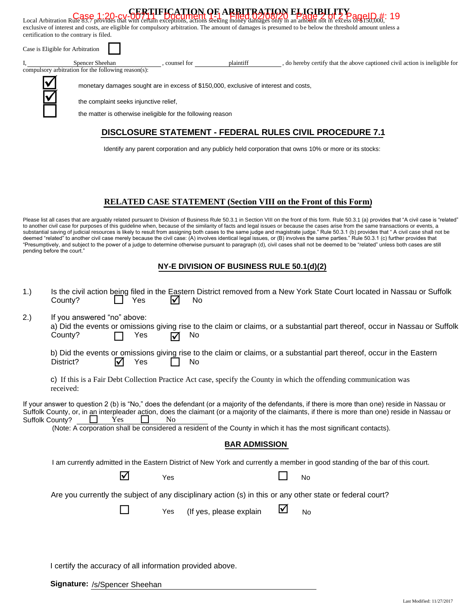|                                  | certification to the contrary is filed.                                |                                                                                                                                                     |           | Local Arbitration Rule 83.7 provides that with certain exceptions, actions seeking money damages only in an amount on the excess of Strategy 19 and arbitration Rule 83.7 provides that with certain exceptions, actions seeki<br>exclusive of interest and costs, are eligible for compulsory arbitration. The amount of damages is presumed to be below the threshold amount unless a |
|----------------------------------|------------------------------------------------------------------------|-----------------------------------------------------------------------------------------------------------------------------------------------------|-----------|-----------------------------------------------------------------------------------------------------------------------------------------------------------------------------------------------------------------------------------------------------------------------------------------------------------------------------------------------------------------------------------------|
| Case is Eligible for Arbitration |                                                                        |                                                                                                                                                     |           |                                                                                                                                                                                                                                                                                                                                                                                         |
|                                  | Spencer Sheehan<br>compulsory arbitration for the following reason(s): | counsel for                                                                                                                                         | plaintiff | , do hereby certify that the above captioned civil action is ineligible for                                                                                                                                                                                                                                                                                                             |
|                                  | the complaint seeks injunctive relief.                                 | monetary damages sought are in excess of \$150,000, exclusive of interest and costs,<br>the matter is otherwise ineligible for the following reason |           |                                                                                                                                                                                                                                                                                                                                                                                         |

# **DISCLOSURE STATEMENT - FEDERAL RULES CIVIL PROCEDURE 7.1**

Identify any parent corporation and any publicly held corporation that owns 10% or more or its stocks:

## **RELATED CASE STATEMENT (Section VIII on the Front of this Form)**

Please list all cases that are arguably related pursuant to Division of Business Rule 50.3.1 in Section VIII on the front of this form. Rule 50.3.1 (a) provides that "A civil case is "related" to another civil case for purposes of this guideline when, because of the similarity of facts and legal issues or because the cases arise from the same transactions or events, a substantial saving of judicial resources is likely to result from assigning both cases to the same judge and magistrate judge." Rule 50.3.1 (b) provides that "A civil case shall not be deemed "related" to another civil case merely because the civil case: (A) involves identical legal issues, or (B) involves the same parties." Rule 50.3.1 (c) further provides that "Presumptively, and subject to the power of a judge to determine otherwise pursuant to paragraph (d), civil cases shall not be deemed to be "related" unless both cases are still pending before the court."

#### **NY-E DIVISION OF BUSINESS RULE 50.1(d)(2)**

| 1.) | County?                                                                                                                       | Yes                            | I√             | No                      |   | Is the civil action being filed in the Eastern District removed from a New York State Court located in Nassau or Suffolk                                                                                                                                                                                                                                                                                               |  |
|-----|-------------------------------------------------------------------------------------------------------------------------------|--------------------------------|----------------|-------------------------|---|------------------------------------------------------------------------------------------------------------------------------------------------------------------------------------------------------------------------------------------------------------------------------------------------------------------------------------------------------------------------------------------------------------------------|--|
| 2.) | If you answered "no" above:<br>County?                                                                                        | Yes                            | ⋈              | No.                     |   | a) Did the events or omissions giving rise to the claim or claims, or a substantial part thereof, occur in Nassau or Suffolk                                                                                                                                                                                                                                                                                           |  |
|     | District?                                                                                                                     | Yes<br>$\overline{\mathsf{M}}$ |                | No.                     |   | b) Did the events or omissions giving rise to the claim or claims, or a substantial part thereof, occur in the Eastern                                                                                                                                                                                                                                                                                                 |  |
|     | received:                                                                                                                     |                                |                |                         |   | c) If this is a Fair Debt Collection Practice Act case, specify the County in which the offending communication was                                                                                                                                                                                                                                                                                                    |  |
|     | Suffolk County?                                                                                                               | Yes                            | N <sub>0</sub> | <b>BAR ADMISSION</b>    |   | If your answer to question 2 (b) is "No," does the defendant (or a majority of the defendants, if there is more than one) reside in Nassau or<br>Suffolk County, or, in an interpleader action, does the claimant (or a majority of the claimants, if there is more than one) reside in Nassau or<br>(Note: A corporation shall be considered a resident of the County in which it has the most significant contacts). |  |
|     | I am currently admitted in the Eastern District of New York and currently a member in good standing of the bar of this court. |                                |                |                         |   |                                                                                                                                                                                                                                                                                                                                                                                                                        |  |
|     |                                                                                                                               | ☑                              | Yes            |                         |   | No                                                                                                                                                                                                                                                                                                                                                                                                                     |  |
|     |                                                                                                                               |                                |                |                         |   | Are you currently the subject of any disciplinary action (s) in this or any other state or federal court?                                                                                                                                                                                                                                                                                                              |  |
|     |                                                                                                                               |                                | Yes            | (If yes, please explain | ⊻ | <b>No</b>                                                                                                                                                                                                                                                                                                                                                                                                              |  |
|     |                                                                                                                               |                                |                |                         |   |                                                                                                                                                                                                                                                                                                                                                                                                                        |  |
|     | I certify the accuracy of all information provided above.                                                                     |                                |                |                         |   |                                                                                                                                                                                                                                                                                                                                                                                                                        |  |

 **Signature:** /s/Spencer Sheehan